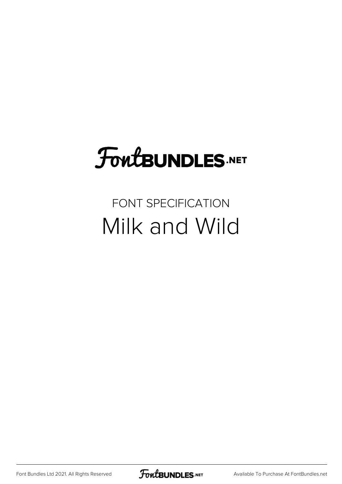## FoutBUNDLES.NET

#### FONT SPECIFICATION Milk and Wild

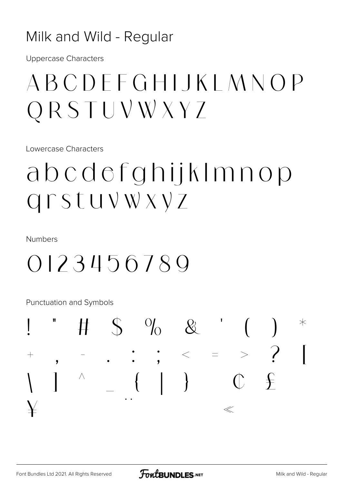#### Milk and Wild - Regular

**Uppercase Characters** 

## ABCDEEGHIJKIMNOP ORSTUVWXYZ

Lowercase Characters

## abcdefghijkImnop Grstuvwxyz

**Numbers** 

### 0123456789

**Punctuation and Symbols** 

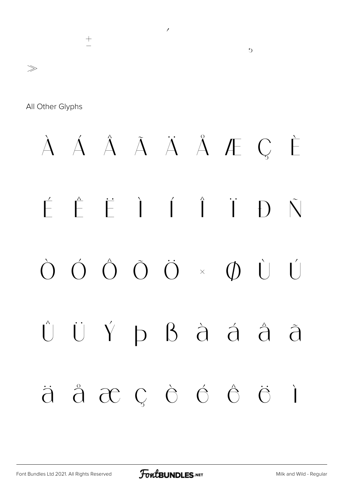#### $\overline{\phantom{a}}$  $\pm$  $\gg$

All Other Glyphs

### À Á Â Ã Ä Å Æ Ç È  $\begin{pmatrix} 1 & \mathbf{r} & \mathbf{r} \\ \mathbf{r} & \mathbf{r} & \mathbf{r} \end{pmatrix}$   $\begin{pmatrix} 1 & \mathbf{r} \\ \mathbf{r} & \mathbf{r} \end{pmatrix}$  $\tilde{\nabla}$  $\begin{pmatrix} 1 \\ 1 \end{pmatrix}$ ÜÝ þ ß à á å  $\begin{pmatrix} 1 \\ 1 \end{pmatrix}$  $\tilde{\mathcal{d}}$  $\ddot{a}$   $\ddot{a}$   $\alpha$   $c$   $\dot{c}$   $\dot{c}$   $\dot{c}$   $\ddot{c}$  $\overline{a}$

 $\mathcal{D}$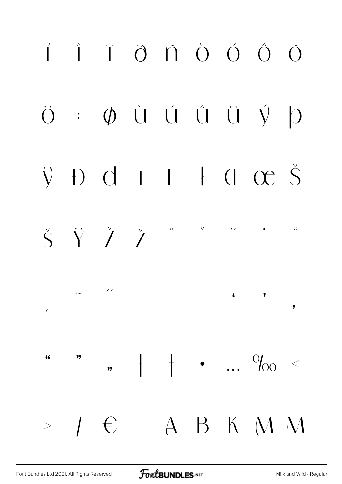